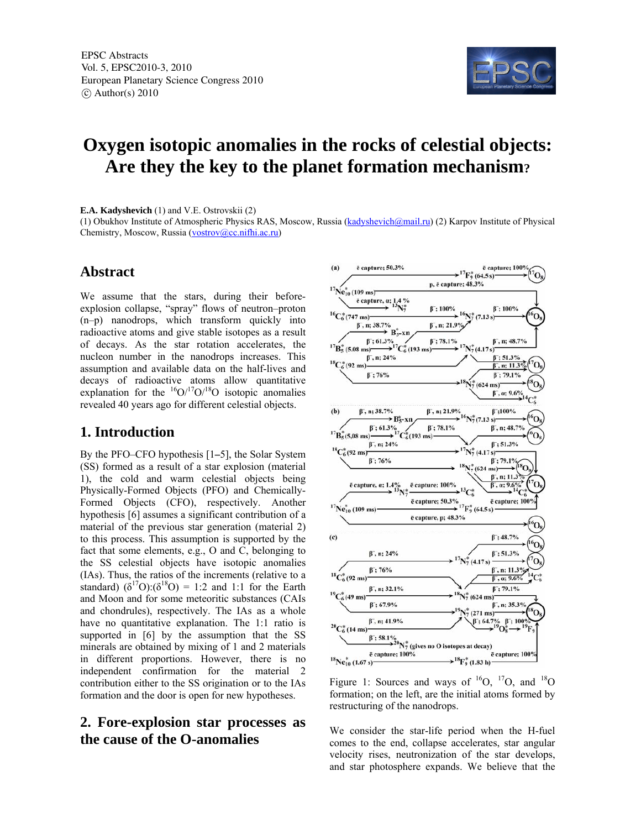

# **Oxygen isotopic anomalies in the rocks of celestial objects: Are they the key to the planet formation mechanism?**

**E.A. Kadyshevich** (1) and V.E. Ostrovskii (2)

(1) Obukhov Institute of Atmospheric Physics RAS, Moscow, Russia (kadyshevich@mail.ru) (2) Karpov Institute of Physical Chemistry, Moscow, Russia (vostrov@cc.nifhi.ac.ru)

### **Abstract**

We assume that the stars, during their beforeexplosion collapse, "spray" flows of neutron–proton (n–p) nanodrops, which transform quickly into radioactive atoms and give stable isotopes as a result of decays. As the star rotation accelerates, the nucleon number in the nanodrops increases. This assumption and available data on the half-lives and decays of radioactive atoms allow quantitative explanation for the  $^{16}O/^{17}O/^{18}O$  isotopic anomalies revealed 40 years ago for different celestial objects.

#### **1. Introduction**

By the PFO–CFO hypothesis [1**–**5], the Solar System (SS) formed as a result of a star explosion (material 1), the cold and warm celestial objects being Physically-Formed Objects (PFO) and Chemically-Formed Objects (CFO), respectively. Another hypothesis [6] assumes a significant contribution of a material of the previous star generation (material 2) to this process. This assumption is supported by the fact that some elements, e.g., O and C, belonging to the SS celestial objects have isotopic anomalies (IAs). Thus, the ratios of the increments (relative to a standard)  $(\delta^{17}O)(\delta^{18}O) = 1:2$  and 1:1 for the Earth and Moon and for some meteoritic substances (CAIs and chondrules), respectively. The IAs as a whole have no quantitative explanation. The 1:1 ratio is supported in [6] by the assumption that the SS minerals are obtained by mixing of 1 and 2 materials in different proportions. However, there is no independent confirmation for the material 2 contribution either to the SS origination or to the IAs formation and the door is open for new hypotheses.

## **2. Fore-explosion star processes as the cause of the O-anomalies**



Figure 1: Sources and ways of  $^{16}O$ ,  $^{17}O$ , and  $^{18}O$ formation; on the left, are the initial atoms formed by restructuring of the nanodrops.

We consider the star-life period when the H-fuel comes to the end, collapse accelerates, star angular velocity rises, neutronization of the star develops, and star photosphere expands. We believe that the